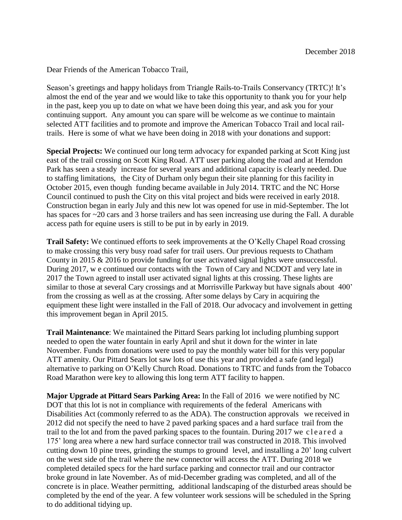Dear Friends of the American Tobacco Trail,

Season's greetings and happy holidays from Triangle Rails-to-Trails Conservancy (TRTC)! It's almost the end of the year and we would like to take this opportunity to thank you for your help in the past, keep you up to date on what we have been doing this year, and ask you for your continuing support. Any amount you can spare will be welcome as we continue to maintain selected ATT facilities and to promote and improve the American Tobacco Trail and local railtrails. Here is some of what we have been doing in 2018 with your donations and support:

**Special Projects:** We continued our long term advocacy for expanded parking at Scott King just east of the trail crossing on Scott King Road. ATT user parking along the road and at Herndon Park has seen a steady increase for several years and additional capacity is clearly needed. Due to staffing limitations, the City of Durham only begun their site planning for this facility in October 2015, even though funding became available in July 2014. TRTC and the NC Horse Council continued to push the City on this vital project and bids were received in early 2018. Construction began in early July and this new lot was opened for use in mid-September. The lot has spaces for ~20 cars and 3 horse trailers and has seen increasing use during the Fall. A durable access path for equine users is still to be put in by early in 2019.

**Trail Safety:** We continued efforts to seek improvements at the O'Kelly Chapel Road crossing to make crossing this very busy road safer for trail users. Our previous requests to Chatham County in 2015 & 2016 to provide funding for user activated signal lights were unsuccessful. During 2017, w e continued our contacts with the Town of Cary and NCDOT and very late in 2017 the Town agreed to install user activated signal lights at this crossing. These lights are similar to those at several Cary crossings and at Morrisville Parkway but have signals about 400' from the crossing as well as at the crossing. After some delays by Cary in acquiring the equipment these light were installed in the Fall of 2018. Our advocacy and involvement in getting this improvement began in April 2015.

**Trail Maintenance**: We maintained the Pittard Sears parking lot including plumbing support needed to open the water fountain in early April and shut it down for the winter in late November. Funds from donations were used to pay the monthly water bill for this very popular ATT amenity. Our Pittard Sears lot saw lots of use this year and provided a safe (and legal) alternative to parking on O'Kelly Church Road. Donations to TRTC and funds from the Tobacco Road Marathon were key to allowing this long term ATT facility to happen.

**Major Upgrade at Pittard Sears Parking Area:** In the Fall of 2016 we were notified by NC DOT that this lot is not in compliance with requirements of the federal Americans with Disabilities Act (commonly referred to as the ADA). The construction approvals we received in 2012 did not specify the need to have 2 paved parking spaces and a hard surface trail from the trail to the lot and from the paved parking spaces to the fountain. During 2017 we cleared a 175' long area where a new hard surface connector trail was constructed in 2018. This involved cutting down 10 pine trees, grinding the stumps to ground level, and installing a 20' long culvert on the west side of the trail where the new connector will access the ATT. During 2018 we completed detailed specs for the hard surface parking and connector trail and our contractor broke ground in late November. As of mid-December grading was completed, and all of the concrete is in place. Weather permitting, additional landscaping of the disturbed areas should be completed by the end of the year. A few volunteer work sessions will be scheduled in the Spring to do additional tidying up.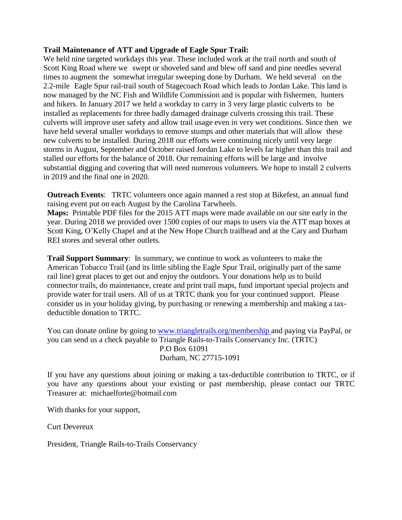## **Trail Maintenance of ATT and Upgrade of Eagle Spur Trail:**

We held nine targeted workdays this year. These included work at the trail north and south of Scott King Road where we swept or shoveled sand and blew off sand and pine needles several times to augment the somewhat irregular sweeping done by Durham. We held several on the 2.2-mile Eagle Spur rail-trail south of Stagecoach Road which leads to Jordan Lake. This land is now managed by the NC Fish and Wildlife Commission and is popular with fishermen, hunters and hikers. In January 2017 we held a workday to carry in 3 very large plastic culverts to be installed as replacements for three badly damaged drainage culverts crossing this trail. These culverts will improve user safety and allow trail usage even in very wet conditions. Since then we have held several smaller workdays to remove stumps and other materials that will allow these new culverts to be installed. During 2018 our efforts were continuing nicely until very large storms in August, September and October raised Jordan Lake to levels far higher than this trail and stalled our efforts for the balance of 2018. Our remaining efforts will be large and involve substantial digging and covering that will need numerous volunteers. We hope to install 2 culverts in 2019 and the final one in 2020.

**Outreach Events**: TRTC volunteers once again manned a rest stop at Bikefest, an annual fund raising event put on each August by the Carolina Tarwheels.

**Maps:** Printable PDF files for the 2015 ATT maps were made available on our site early in the year. During 2018 we provided over 1500 copies of our maps to users via the ATT map boxes at Scott King, O'Kelly Chapel and at the New Hope Church trailhead and at the Cary and Durham REI stores and several other outlets.

**Trail Support Summary**: In summary, we continue to work as volunteers to make the American Tobacco Trail (and its little sibling the Eagle Spur Trail, originally part of the same rail line) great places to get out and enjoy the outdoors. Your donations help us to build connector trails, do maintenance, create and print trail maps, fund important special projects and provide water for trail users. All of us at TRTC thank you for your continued support. Please consider us in your holiday giving, by purchasing or renewing a membership and making a taxdeductible donation to TRTC.

You can donate online by going to [www.triangletrails.org/membership a](http://www.triangletrails.org/membership)nd paying via PayPal, or you can send us a check payable to Triangle Rails-to-Trails Conservancy Inc. (TRTC) P.O Box 61091 Durham, NC 27715-1091

If you have any questions about joining or making a tax-deductible contribution to TRTC, or if you have any questions about your existing or past membership, please contact our TRTC Treasurer [at: michaelforte@hotmail.com](mailto:michaelforte@hotmail.com)

With thanks for your support,

Curt Devereux

President, Triangle Rails-to-Trails Conservancy